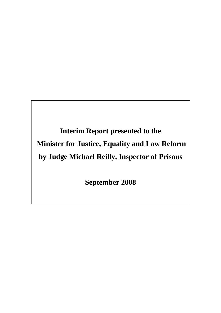**Interim Report presented to the Minister for Justice, Equality and Law Reform by Judge Michael Reilly, Inspector of Prisons** 

**September 2008**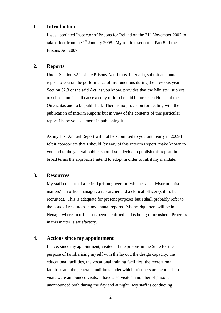### **1. Introduction**

I was appointed Inspector of Prisons for Ireland on the  $21<sup>st</sup>$  November 2007 to take effect from the  $1<sup>st</sup>$  January 2008. My remit is set out in Part 5 of the Prisons Act 2007.

## **2. Reports**

Under Section 32.1 of the Prisons Act, I must inter alia, submit an annual report to you on the performance of my functions during the previous year. Section 32.3 of the said Act, as you know, provides that the Minister, subject to subsection 4 shall cause a copy of it to be laid before each House of the Oireachtas and to be published. There is no provision for dealing with the publication of Interim Reports but in view of the contents of this particular report I hope you see merit in publishing it.

As my first Annual Report will not be submitted to you until early in 2009 I felt it appropriate that I should, by way of this Interim Report, make known to you and to the general public, should you decide to publish this report, in broad terms the approach I intend to adopt in order to fulfil my mandate.

# **3. Resources**

My staff consists of a retired prison governor (who acts as advisor on prison matters), an office manager, a researcher and a clerical officer (still to be recruited). This is adequate for present purposes but I shall probably refer to the issue of resources in my annual reports. My headquarters will be in Nenagh where an office has been identified and is being refurbished. Progress in this matter is satisfactory.

# **4. Actions since my appointment**

I have, since my appointment, visited all the prisons in the State for the purpose of familiarising myself with the layout, the design capacity, the educational facilities, the vocational training facilities, the recreational facilities and the general conditions under which prisoners are kept. These visits were announced visits. I have also visited a number of prisons unannounced both during the day and at night. My staff is conducting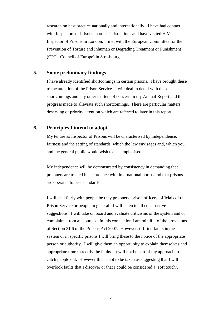research on best practice nationally and internationally. I have had contact with Inspectors of Prisons in other jurisdictions and have visited H.M. Inspector of Prisons in London. I met with the European Committee for the Prevention of Torture and Inhuman or Degrading Treatment or Punishment (CPT - Council of Europe) in Strasbourg.

# **5. Some preliminary findings**

I have already identified shortcomings in certain prisons. I have brought these to the attention of the Prison Service. I will deal in detail with these shortcomings and any other matters of concern in my Annual Report and the progress made to alleviate such shortcomings. There are particular matters deserving of priority attention which are referred to later in this report.

#### **6. Principles I intend to adopt**

My tenure as Inspector of Prisons will be characterised by independence, fairness and the setting of standards, which the law envisages and, which you and the general public would wish to see emphasised.

My independence will be demonstrated by consistency in demanding that prisoners are treated in accordance with international norms and that prisons are operated to best standards.

I will deal fairly with people be they prisoners, prison officers, officials of the Prison Service or people in general. I will listen to all constructive suggestions. I will take on board and evaluate criticisms of the system and or complaints from all sources. In this connection I am mindful of the provisions of Section 31.6 of the Prisons Act 2007. However, if I find faults in the system or in specific prisons I will bring these to the notice of the appropriate person or authority. I will give them an opportunity to explain themselves and appropriate time to rectify the faults. It will not be part of my approach to catch people out. However this is not to be taken as suggesting that I will overlook faults that I discover or that I could be considered a 'soft touch'.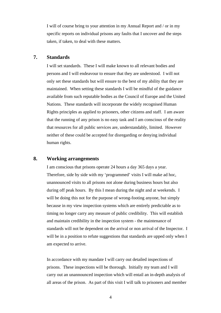I will of course bring to your attention in my Annual Report and / or in my specific reports on individual prisons any faults that I uncover and the steps taken, if taken, to deal with these matters.

## **7. Standards**

I will set standards. These I will make known to all relevant bodies and persons and I will endeavour to ensure that they are understood. I will not only set these standards but will ensure to the best of my ability that they are maintained. When setting these standards I will be mindful of the guidance available from such reputable bodies as the Council of Europe and the United Nations. These standards will incorporate the widely recognised Human Rights principles as applied to prisoners, other citizens and staff. I am aware that the running of any prison is no easy task and I am conscious of the reality that resources for all public services are, understandably, limited. However neither of these could be accepted for disregarding or denying individual human rights.

### **8. Working arrangements**

I am conscious that prisons operate 24 hours a day 365 days a year. Therefore, side by side with my 'programmed' visits I will make ad hoc, unannounced visits to all prisons not alone during business hours but also during off peak hours. By this I mean during the night and at weekends. I will be doing this not for the purpose of wrong-footing anyone, but simply because in my view inspection systems which are entirely predictable as to timing no longer carry any measure of public credibility. This will establish and maintain credibility in the inspection system - the maintenance of standards will not be dependent on the arrival or non arrival of the Inspector. I will be in a position to refute suggestions that standards are upped only when I am expected to arrive.

In accordance with my mandate I will carry out detailed inspections of prisons. These inspections will be thorough. Initially my team and I will carry out an unannounced inspection which will entail an in-depth analysis of all areas of the prison. As part of this visit I will talk to prisoners and member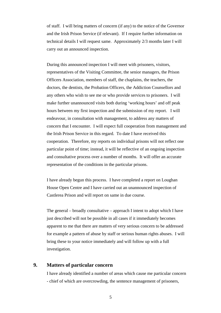of staff. I will bring matters of concern (if any) to the notice of the Governor and the Irish Prison Service (if relevant). If I require further information on technical details I will request same. Approximately 2/3 months later I will carry out an announced inspection.

During this announced inspection I will meet with prisoners, visitors, representatives of the Visiting Committee, the senior managers, the Prison Officers Association, members of staff, the chaplains, the teachers, the doctors, the dentists, the Probation Officers, the Addiction Counsellors and any others who wish to see me or who provide services to prisoners. I will make further unannounced visits both during 'working hours' and off peak hours between my first inspection and the submission of my report. I will endeavour, in consultation with management, to address any matters of concern that I encounter. I will expect full cooperation from management and the Irish Prison Service in this regard. To date I have received this cooperation. Therefore, my reports on individual prisons will not reflect one particular point of time; instead, it will be reflective of an ongoing inspection and consultative process over a number of months. It will offer an accurate representation of the conditions in the particular prisons.

I have already begun this process. I have completed a report on Loughan House Open Centre and I have carried out an unannounced inspection of Castlerea Prison and will report on same in due course.

The general – broadly consultative – approach I intent to adopt which I have just described will not be possible in all cases if it immediately becomes apparent to me that there are matters of very serious concern to be addressed for example a pattern of abuse by staff or serious human rights abuses. I will bring these to your notice immediately and will follow up with a full investigation.

# **9. Matters of particular concern**

I have already identified a number of areas which cause me particular concern - chief of which are overcrowding, the sentence management of prisoners,